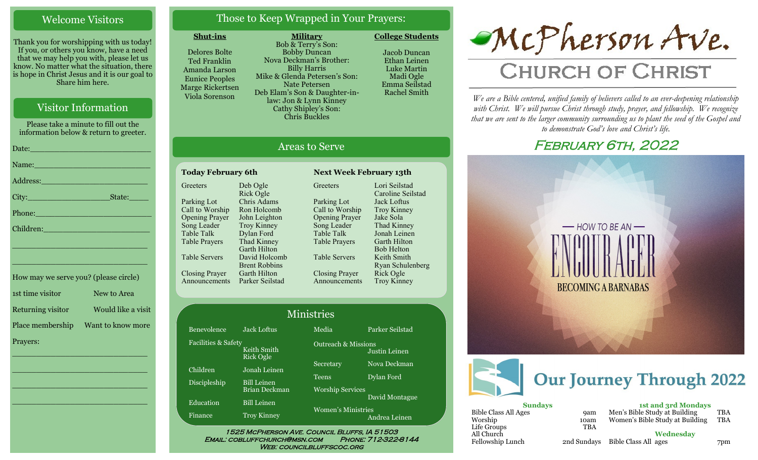### Welcome Visitors

Thank you for worshipping with us today! If you, or others you know, have a need that we may help you with, please let us know. No matter what the situation, there is hope in Christ Jesus and it is our goal to Share him here.

### Visitor Information

Please take a minute to fill out the information below & return to greeter.

| Date: 2008 - 2008 - 2014 - 2014 - 2014 - 2014 - 2014 - 2014 - 2014 - 2014 - 2014 - 2014 - 2014 - 2014 - 2014 -  |  |
|-----------------------------------------------------------------------------------------------------------------|--|
| Name: Name and the second contract of the second contract of the second contract of the second contract of the  |  |
| Address: 2008 and 2008 and 2008 and 2008 and 2008 and 2008 and 2008 and 2008 and 2008 and 2008 and 2008 and 20  |  |
|                                                                                                                 |  |
|                                                                                                                 |  |
| Children: New York Children                                                                                     |  |
| the contract of the contract of the contract of the contract of the contract of the contract of the contract of |  |

| How may we serve you? (please circle) |                    |
|---------------------------------------|--------------------|
| 1st time visitor                      | New to Area        |
| Returning visitor                     | Would like a visit |
| Place membership                      | Want to know more  |
| Prayers:                              |                    |

\_\_\_\_\_\_\_\_\_\_\_\_\_\_\_\_\_\_\_\_\_\_\_\_\_\_\_\_

 $\overline{\phantom{a}}$  , and the set of the set of the set of the set of the set of the set of the set of the set of the set of the set of the set of the set of the set of the set of the set of the set of the set of the set of the s

 $\overline{\phantom{a}}$  , and the set of the set of the set of the set of the set of the set of the set of the set of the set of the set of the set of the set of the set of the set of the set of the set of the set of the set of the s

\_\_\_\_\_\_\_\_\_\_\_\_\_\_\_\_\_\_\_\_\_\_\_\_\_\_\_\_

\_\_\_\_\_\_\_\_\_\_\_\_\_\_\_\_\_\_\_\_\_\_\_\_\_\_\_\_

### Those to Keep Wrapped in Your Prayers:

**Military**

### **Shut-ins**

Delores Bolte Ted Franklin Amanda Larson Eunice Peoples Marge Rickertsen Viola Sorenson

> Ben Fac

Bob & Terry's Son: Bobby Duncan Nova Deckman's Brother: Billy Harris Mike & Glenda Petersen's Son: Nate Petersen Deb Elam's Son & Daughter-inlaw: Jon & Lynn Kinney Cathy Shipley's Son: Chris Buckles

Jacob Duncan Ethan Leinen Luke Martin



#### **College Students**

All Church

# Areas to Serve

| <b>Today February 6th</b>   | <b>Next Week February 13th</b> |                               |
|-----------------------------|--------------------------------|-------------------------------|
| Deb Ogle                    | Greeters                       | Lori Seilstad<br>Caroline Sei |
| Chris Adams                 | Parking Lot                    | Jack Loftus                   |
| Ron Holcomb                 | Call to Worship                | Troy Kinney                   |
| John Leighton               | <b>Opening Prayer</b>          | Jake Sola                     |
| <b>Troy Kinney</b>          | Song Leader                    | Thad Kinney                   |
| Dylan Ford                  | Table Talk                     | Jonah Leiner                  |
| Thad Kinney<br>Garth Hilton | <b>Table Prayers</b>           | Garth Hilton<br>Bob Helton    |
| David Holcomb               | <b>Table Servers</b>           | Keith Smith                   |
| <b>Brent Robbins</b>        |                                | Ryan Schule                   |
| Garth Hilton                | <b>Closing Prayer</b>          | Rick Ogle                     |
| Parker Seilstad             | Announcements                  | Troy Kinney                   |
|                             | Rick Ogle                      |                               |

Parking Lot Call to Worship Opening Prayer Song Leader Table Talk Table Prayers Table Servers Closing Prayer Announcements Lori Seilstad Caroline Seilstad Jack Loftus Troy Kinney Jake Sola Thad Kinney Jonah Leinen Garth Hilton Bob Helton Keith Smith Ryan Schulenberg Rick Ogle Troy Kinney

| Ministries                         |                                            |                         |  |
|------------------------------------|--------------------------------------------|-------------------------|--|
| <b>Jack Loftus</b>                 | Media                                      | Parker Seilstad         |  |
| Facilities & Safety<br>Keith Smith | <b>Outreach &amp; Missions</b>             | Justin Leinen           |  |
| Jonah Leinen                       | Secretary                                  | Nova Deckman            |  |
| <b>Bill Leinen</b>                 | <b>Teens</b>                               | Dylan Ford              |  |
| <b>Bill Leinen</b>                 |                                            | David Montague          |  |
| <b>Troy Kinney</b>                 | <b>Women's Ministries</b><br>Andrea Leinen |                         |  |
|                                    | <b>Rick Ogle</b><br><b>Brian Deckman</b>   | <b>Worship Services</b> |  |

Email: cobluffchurch@msn.com Phone: 712-322-8144 WEB: COUNCILBLUFFSCOC.ORG



# **CHURCH OF CHRIST**

*We are a Bible centered, unified family of believers called to an ever-deepening relationship*  with Christ. We will pursue Christ through study, prayer, and fellowship. We recognize *that we are sent to the larger community surrounding us to plant the seed of the Gospel and to demonstrate God's love and Christ's life.*

# FEBRUARY 6TH, 2022





Fellowship Lunch 2nd Sundays Bible Class All ages 7pm